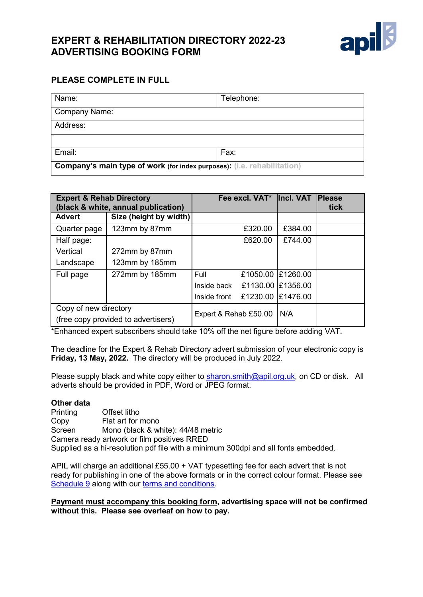# **EXPERT & REHABILITATION DIRECTORY 2022-23 ADVERTISING BOOKING FORM**



# **PLEASE COMPLETE IN FULL**

| Name:                                                                          | Telephone: |  |  |  |
|--------------------------------------------------------------------------------|------------|--|--|--|
| Company Name:                                                                  |            |  |  |  |
| Address:                                                                       |            |  |  |  |
|                                                                                |            |  |  |  |
| Email:                                                                         | Fax:       |  |  |  |
| <b>Company's main type of work (for index purposes): (i.e. rehabilitation)</b> |            |  |  |  |

| <b>Expert &amp; Rehab Directory</b><br>(black & white, annual publication) |                                     |                               | Fee excl. VAT*  Incl. VAT |                   | <b>Please</b><br>tick |
|----------------------------------------------------------------------------|-------------------------------------|-------------------------------|---------------------------|-------------------|-----------------------|
| <b>Advert</b>                                                              | Size (height by width)              |                               |                           |                   |                       |
| Quarter page                                                               | 123mm by 87mm                       |                               | £320.00                   | £384.00           |                       |
| Half page:                                                                 |                                     |                               | £620.00                   | £744.00           |                       |
| Vertical                                                                   | 272mm by 87mm                       |                               |                           |                   |                       |
| Landscape                                                                  | 123mm by 185mm                      |                               |                           |                   |                       |
| Full page                                                                  | 272mm by 185mm                      | Full                          |                           | £1050.00 £1260.00 |                       |
|                                                                            |                                     | Inside back £1130.00 £1356.00 |                           |                   |                       |
|                                                                            |                                     | Inside front                  | £1230.00 £1476.00         |                   |                       |
| Copy of new directory                                                      | (free copy provided to advertisers) | Expert & Rehab £50.00         |                           | N/A               |                       |

\*Enhanced expert subscribers should take 10% off the net figure before adding VAT.

The deadline for the Expert & Rehab Directory advert submission of your electronic copy is **Friday, 13 May, 2022.** The directory will be produced in July 2022.

Please supply black and white copy either to [sharon.smith@apil.org.uk,](mailto:sharon.smith@apil.org.uk) on CD or disk. All adverts should be provided in PDF, Word or JPEG format.

#### **Other data**

Printing Offset litho<br>Copy Flat art for r Flat art for mono Screen Mono (black & white): 44/48 metric Camera ready artwork or film positives RRED Supplied as a hi-resolution pdf file with a minimum 300dpi and all fonts embedded.

APIL will charge an additional £55.00 + VAT typesetting fee for each advert that is not ready for publishing in one of the above formats or in the correct colour format. Please see [Schedule 9](http://www.apil.org.uk/files/terms-and-conditions/20171211/09-advertising-schedule-11-12-2017.pdf) along with our terms and [conditions.](http://www.apil.org.uk/terms-and-conditions)

**Payment must accompany this booking form, advertising space will not be confirmed without this. Please see overleaf on how to pay.**